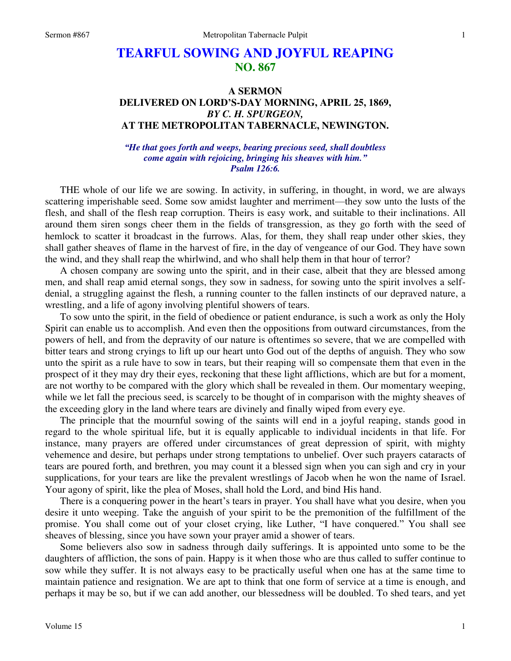## **TEARFUL SOWING AND JOYFUL REAPING NO. 867**

## **A SERMON DELIVERED ON LORD'S-DAY MORNING, APRIL 25, 1869,**  *BY C. H. SPURGEON,*  **AT THE METROPOLITAN TABERNACLE, NEWINGTON.**

## *"He that goes forth and weeps, bearing precious seed, shall doubtless come again with rejoicing, bringing his sheaves with him." Psalm 126:6.*

 THE whole of our life we are sowing. In activity, in suffering, in thought, in word, we are always scattering imperishable seed. Some sow amidst laughter and merriment—they sow unto the lusts of the flesh, and shall of the flesh reap corruption. Theirs is easy work, and suitable to their inclinations. All around them siren songs cheer them in the fields of transgression, as they go forth with the seed of hemlock to scatter it broadcast in the furrows. Alas, for them, they shall reap under other skies, they shall gather sheaves of flame in the harvest of fire, in the day of vengeance of our God. They have sown the wind, and they shall reap the whirlwind, and who shall help them in that hour of terror?

 A chosen company are sowing unto the spirit, and in their case, albeit that they are blessed among men, and shall reap amid eternal songs, they sow in sadness, for sowing unto the spirit involves a selfdenial, a struggling against the flesh, a running counter to the fallen instincts of our depraved nature, a wrestling, and a life of agony involving plentiful showers of tears.

 To sow unto the spirit, in the field of obedience or patient endurance, is such a work as only the Holy Spirit can enable us to accomplish. And even then the oppositions from outward circumstances, from the powers of hell, and from the depravity of our nature is oftentimes so severe, that we are compelled with bitter tears and strong cryings to lift up our heart unto God out of the depths of anguish. They who sow unto the spirit as a rule have to sow in tears, but their reaping will so compensate them that even in the prospect of it they may dry their eyes, reckoning that these light afflictions, which are but for a moment, are not worthy to be compared with the glory which shall be revealed in them. Our momentary weeping, while we let fall the precious seed, is scarcely to be thought of in comparison with the mighty sheaves of the exceeding glory in the land where tears are divinely and finally wiped from every eye.

 The principle that the mournful sowing of the saints will end in a joyful reaping, stands good in regard to the whole spiritual life, but it is equally applicable to individual incidents in that life. For instance, many prayers are offered under circumstances of great depression of spirit, with mighty vehemence and desire, but perhaps under strong temptations to unbelief. Over such prayers cataracts of tears are poured forth, and brethren, you may count it a blessed sign when you can sigh and cry in your supplications, for your tears are like the prevalent wrestlings of Jacob when he won the name of Israel. Your agony of spirit, like the plea of Moses, shall hold the Lord, and bind His hand.

 There is a conquering power in the heart's tears in prayer. You shall have what you desire, when you desire it unto weeping. Take the anguish of your spirit to be the premonition of the fulfillment of the promise. You shall come out of your closet crying, like Luther, "I have conquered." You shall see sheaves of blessing, since you have sown your prayer amid a shower of tears.

 Some believers also sow in sadness through daily sufferings. It is appointed unto some to be the daughters of affliction, the sons of pain. Happy is it when those who are thus called to suffer continue to sow while they suffer. It is not always easy to be practically useful when one has at the same time to maintain patience and resignation. We are apt to think that one form of service at a time is enough, and perhaps it may be so, but if we can add another, our blessedness will be doubled. To shed tears, and yet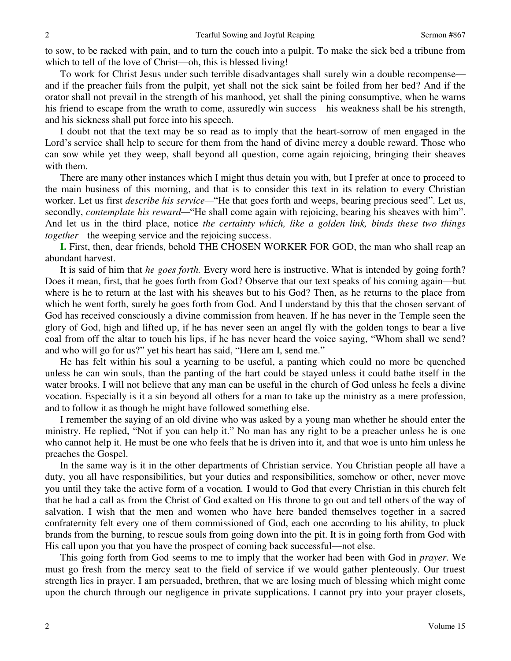to sow, to be racked with pain, and to turn the couch into a pulpit. To make the sick bed a tribune from which to tell of the love of Christ—oh, this is blessed living!

 To work for Christ Jesus under such terrible disadvantages shall surely win a double recompense and if the preacher fails from the pulpit, yet shall not the sick saint be foiled from her bed? And if the orator shall not prevail in the strength of his manhood, yet shall the pining consumptive, when he warns his friend to escape from the wrath to come, assuredly win success—his weakness shall be his strength, and his sickness shall put force into his speech.

 I doubt not that the text may be so read as to imply that the heart-sorrow of men engaged in the Lord's service shall help to secure for them from the hand of divine mercy a double reward. Those who can sow while yet they weep, shall beyond all question, come again rejoicing, bringing their sheaves with them.

 There are many other instances which I might thus detain you with, but I prefer at once to proceed to the main business of this morning, and that is to consider this text in its relation to every Christian worker. Let us first *describe his service*— "He that goes forth and weeps, bearing precious seed". Let us, secondly, *contemplate his reward—*"He shall come again with rejoicing, bearing his sheaves with him". And let us in the third place, notice *the certainty which, like a golden link, binds these two things together—*the weeping service and the rejoicing success.

**I.** First, then, dear friends, behold THE CHOSEN WORKER FOR GOD, the man who shall reap an abundant harvest.

 It is said of him that *he goes forth.* Every word here is instructive. What is intended by going forth? Does it mean, first, that he goes forth from God? Observe that our text speaks of his coming again—but where is he to return at the last with his sheaves but to his God? Then, as he returns to the place from which he went forth, surely he goes forth from God. And I understand by this that the chosen servant of God has received consciously a divine commission from heaven. If he has never in the Temple seen the glory of God, high and lifted up, if he has never seen an angel fly with the golden tongs to bear a live coal from off the altar to touch his lips, if he has never heard the voice saying, "Whom shall we send? and who will go for us?" yet his heart has said, "Here am I, send me."

 He has felt within his soul a yearning to be useful, a panting which could no more be quenched unless he can win souls, than the panting of the hart could be stayed unless it could bathe itself in the water brooks. I will not believe that any man can be useful in the church of God unless he feels a divine vocation. Especially is it a sin beyond all others for a man to take up the ministry as a mere profession, and to follow it as though he might have followed something else.

 I remember the saying of an old divine who was asked by a young man whether he should enter the ministry. He replied, "Not if you can help it." No man has any right to be a preacher unless he is one who cannot help it. He must be one who feels that he is driven into it, and that woe is unto him unless he preaches the Gospel.

 In the same way is it in the other departments of Christian service. You Christian people all have a duty, you all have responsibilities, but your duties and responsibilities, somehow or other, never move you until they take the active form of a vocation*.* I would to God that every Christian in this church felt that he had a call as from the Christ of God exalted on His throne to go out and tell others of the way of salvation. I wish that the men and women who have here banded themselves together in a sacred confraternity felt every one of them commissioned of God, each one according to his ability, to pluck brands from the burning, to rescue souls from going down into the pit. It is in going forth from God with His call upon you that you have the prospect of coming back successful—not else.

 This going forth from God seems to me to imply that the worker had been with God in *prayer*. We must go fresh from the mercy seat to the field of service if we would gather plenteously. Our truest strength lies in prayer. I am persuaded, brethren, that we are losing much of blessing which might come upon the church through our negligence in private supplications. I cannot pry into your prayer closets,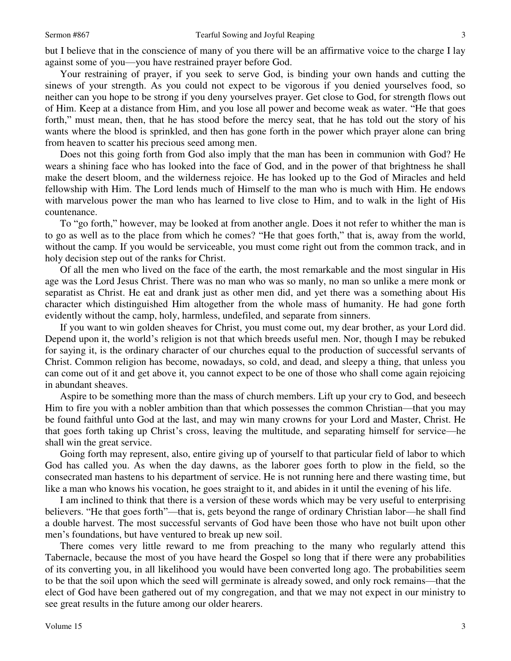but I believe that in the conscience of many of you there will be an affirmative voice to the charge I lay against some of you—you have restrained prayer before God.

 Your restraining of prayer, if you seek to serve God, is binding your own hands and cutting the sinews of your strength. As you could not expect to be vigorous if you denied yourselves food, so neither can you hope to be strong if you deny yourselves prayer. Get close to God, for strength flows out of Him. Keep at a distance from Him, and you lose all power and become weak as water. "He that goes forth," must mean, then, that he has stood before the mercy seat, that he has told out the story of his wants where the blood is sprinkled, and then has gone forth in the power which prayer alone can bring from heaven to scatter his precious seed among men.

 Does not this going forth from God also imply that the man has been in communion with God? He wears a shining face who has looked into the face of God, and in the power of that brightness he shall make the desert bloom, and the wilderness rejoice. He has looked up to the God of Miracles and held fellowship with Him. The Lord lends much of Himself to the man who is much with Him. He endows with marvelous power the man who has learned to live close to Him, and to walk in the light of His countenance.

 To "go forth," however, may be looked at from another angle. Does it not refer to whither the man is to go as well as to the place from which he comes? "He that goes forth," that is, away from the world, without the camp. If you would be serviceable, you must come right out from the common track, and in holy decision step out of the ranks for Christ.

 Of all the men who lived on the face of the earth, the most remarkable and the most singular in His age was the Lord Jesus Christ. There was no man who was so manly, no man so unlike a mere monk or separatist as Christ. He eat and drank just as other men did, and yet there was a something about His character which distinguished Him altogether from the whole mass of humanity. He had gone forth evidently without the camp, holy, harmless, undefiled, and separate from sinners.

 If you want to win golden sheaves for Christ, you must come out, my dear brother, as your Lord did. Depend upon it, the world's religion is not that which breeds useful men. Nor, though I may be rebuked for saying it, is the ordinary character of our churches equal to the production of successful servants of Christ. Common religion has become, nowadays, so cold, and dead, and sleepy a thing, that unless you can come out of it and get above it, you cannot expect to be one of those who shall come again rejoicing in abundant sheaves.

 Aspire to be something more than the mass of church members. Lift up your cry to God, and beseech Him to fire you with a nobler ambition than that which possesses the common Christian—that you may be found faithful unto God at the last, and may win many crowns for your Lord and Master, Christ. He that goes forth taking up Christ's cross, leaving the multitude, and separating himself for service—he shall win the great service.

 Going forth may represent, also, entire giving up of yourself to that particular field of labor to which God has called you. As when the day dawns, as the laborer goes forth to plow in the field, so the consecrated man hastens to his department of service. He is not running here and there wasting time, but like a man who knows his vocation, he goes straight to it, and abides in it until the evening of his life.

 I am inclined to think that there is a version of these words which may be very useful to enterprising believers. "He that goes forth"—that is, gets beyond the range of ordinary Christian labor—he shall find a double harvest. The most successful servants of God have been those who have not built upon other men's foundations, but have ventured to break up new soil.

 There comes very little reward to me from preaching to the many who regularly attend this Tabernacle, because the most of you have heard the Gospel so long that if there were any probabilities of its converting you, in all likelihood you would have been converted long ago. The probabilities seem to be that the soil upon which the seed will germinate is already sowed, and only rock remains—that the elect of God have been gathered out of my congregation, and that we may not expect in our ministry to see great results in the future among our older hearers.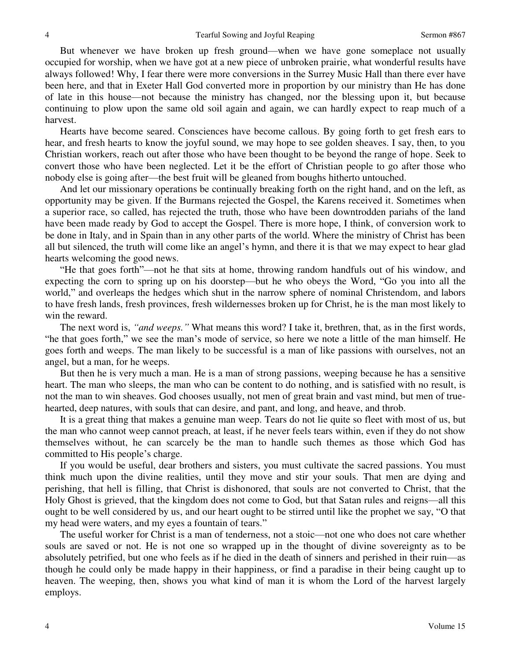But whenever we have broken up fresh ground—when we have gone someplace not usually occupied for worship, when we have got at a new piece of unbroken prairie, what wonderful results have always followed! Why, I fear there were more conversions in the Surrey Music Hall than there ever have been here, and that in Exeter Hall God converted more in proportion by our ministry than He has done of late in this house—not because the ministry has changed, nor the blessing upon it, but because continuing to plow upon the same old soil again and again, we can hardly expect to reap much of a harvest.

 Hearts have become seared. Consciences have become callous. By going forth to get fresh ears to hear, and fresh hearts to know the joyful sound, we may hope to see golden sheaves. I say, then, to you Christian workers, reach out after those who have been thought to be beyond the range of hope. Seek to convert those who have been neglected. Let it be the effort of Christian people to go after those who nobody else is going after—the best fruit will be gleaned from boughs hitherto untouched.

 And let our missionary operations be continually breaking forth on the right hand, and on the left, as opportunity may be given. If the Burmans rejected the Gospel, the Karens received it. Sometimes when a superior race, so called, has rejected the truth, those who have been downtrodden pariahs of the land have been made ready by God to accept the Gospel. There is more hope, I think, of conversion work to be done in Italy, and in Spain than in any other parts of the world. Where the ministry of Christ has been all but silenced, the truth will come like an angel's hymn, and there it is that we may expect to hear glad hearts welcoming the good news.

"He that goes forth"—not he that sits at home, throwing random handfuls out of his window, and expecting the corn to spring up on his doorstep—but he who obeys the Word, "Go you into all the world," and overleaps the hedges which shut in the narrow sphere of nominal Christendom, and labors to have fresh lands, fresh provinces, fresh wildernesses broken up for Christ, he is the man most likely to win the reward.

 The next word is, *"and weeps."* What means this word? I take it, brethren, that, as in the first words, "he that goes forth," we see the man's mode of service, so here we note a little of the man himself. He goes forth and weeps. The man likely to be successful is a man of like passions with ourselves, not an angel, but a man, for he weeps.

 But then he is very much a man. He is a man of strong passions, weeping because he has a sensitive heart. The man who sleeps, the man who can be content to do nothing, and is satisfied with no result, is not the man to win sheaves. God chooses usually, not men of great brain and vast mind, but men of truehearted, deep natures, with souls that can desire, and pant, and long, and heave, and throb.

 It is a great thing that makes a genuine man weep. Tears do not lie quite so fleet with most of us, but the man who cannot weep cannot preach, at least, if he never feels tears within, even if they do not show themselves without, he can scarcely be the man to handle such themes as those which God has committed to His people's charge.

 If you would be useful, dear brothers and sisters, you must cultivate the sacred passions. You must think much upon the divine realities, until they move and stir your souls. That men are dying and perishing, that hell is filling, that Christ is dishonored, that souls are not converted to Christ, that the Holy Ghost is grieved, that the kingdom does not come to God, but that Satan rules and reigns—all this ought to be well considered by us, and our heart ought to be stirred until like the prophet we say, "O that my head were waters, and my eyes a fountain of tears."

 The useful worker for Christ is a man of tenderness, not a stoic—not one who does not care whether souls are saved or not. He is not one so wrapped up in the thought of divine sovereignty as to be absolutely petrified, but one who feels as if he died in the death of sinners and perished in their ruin—as though he could only be made happy in their happiness, or find a paradise in their being caught up to heaven. The weeping, then, shows you what kind of man it is whom the Lord of the harvest largely employs.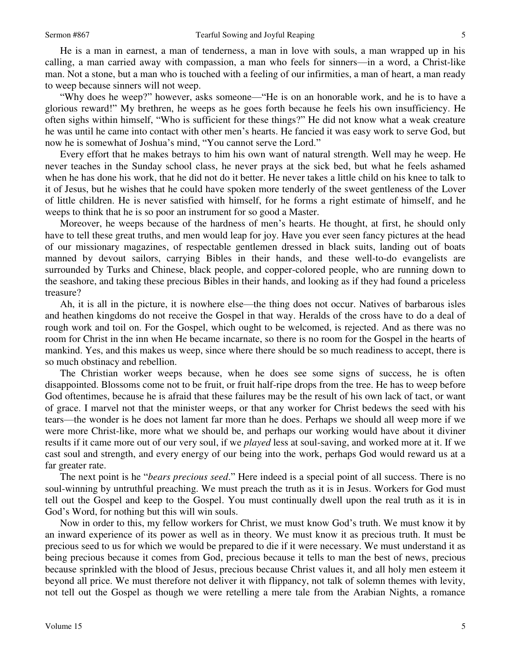He is a man in earnest, a man of tenderness, a man in love with souls, a man wrapped up in his calling, a man carried away with compassion, a man who feels for sinners—in a word, a Christ-like man. Not a stone, but a man who is touched with a feeling of our infirmities, a man of heart, a man ready to weep because sinners will not weep.

"Why does he weep?" however, asks someone—"He is on an honorable work, and he is to have a glorious reward!" My brethren, he weeps as he goes forth because he feels his own insufficiency. He often sighs within himself, "Who is sufficient for these things?" He did not know what a weak creature he was until he came into contact with other men's hearts. He fancied it was easy work to serve God, but now he is somewhat of Joshua's mind, "You cannot serve the Lord."

 Every effort that he makes betrays to him his own want of natural strength. Well may he weep. He never teaches in the Sunday school class, he never prays at the sick bed, but what he feels ashamed when he has done his work, that he did not do it better. He never takes a little child on his knee to talk to it of Jesus, but he wishes that he could have spoken more tenderly of the sweet gentleness of the Lover of little children. He is never satisfied with himself, for he forms a right estimate of himself, and he weeps to think that he is so poor an instrument for so good a Master.

 Moreover, he weeps because of the hardness of men's hearts. He thought, at first, he should only have to tell these great truths, and men would leap for joy. Have you ever seen fancy pictures at the head of our missionary magazines, of respectable gentlemen dressed in black suits, landing out of boats manned by devout sailors, carrying Bibles in their hands, and these well-to-do evangelists are surrounded by Turks and Chinese, black people, and copper-colored people, who are running down to the seashore, and taking these precious Bibles in their hands, and looking as if they had found a priceless treasure?

 Ah, it is all in the picture, it is nowhere else—the thing does not occur. Natives of barbarous isles and heathen kingdoms do not receive the Gospel in that way. Heralds of the cross have to do a deal of rough work and toil on. For the Gospel, which ought to be welcomed, is rejected. And as there was no room for Christ in the inn when He became incarnate, so there is no room for the Gospel in the hearts of mankind. Yes, and this makes us weep, since where there should be so much readiness to accept, there is so much obstinacy and rebellion.

 The Christian worker weeps because, when he does see some signs of success, he is often disappointed. Blossoms come not to be fruit, or fruit half-ripe drops from the tree. He has to weep before God oftentimes, because he is afraid that these failures may be the result of his own lack of tact, or want of grace. I marvel not that the minister weeps, or that any worker for Christ bedews the seed with his tears—the wonder is he does not lament far more than he does. Perhaps we should all weep more if we were more Christ-like, more what we should be, and perhaps our working would have about it diviner results if it came more out of our very soul, if we *played* less at soul-saving, and worked more at it. If we cast soul and strength, and every energy of our being into the work, perhaps God would reward us at a far greater rate.

 The next point is he "*bears precious seed*." Here indeed is a special point of all success. There is no soul-winning by untruthful preaching. We must preach the truth as it is in Jesus. Workers for God must tell out the Gospel and keep to the Gospel. You must continually dwell upon the real truth as it is in God's Word, for nothing but this will win souls.

 Now in order to this, my fellow workers for Christ, we must know God's truth. We must know it by an inward experience of its power as well as in theory. We must know it as precious truth. It must be precious seed to us for which we would be prepared to die if it were necessary. We must understand it as being precious because it comes from God, precious because it tells to man the best of news, precious because sprinkled with the blood of Jesus, precious because Christ values it, and all holy men esteem it beyond all price. We must therefore not deliver it with flippancy, not talk of solemn themes with levity, not tell out the Gospel as though we were retelling a mere tale from the Arabian Nights, a romance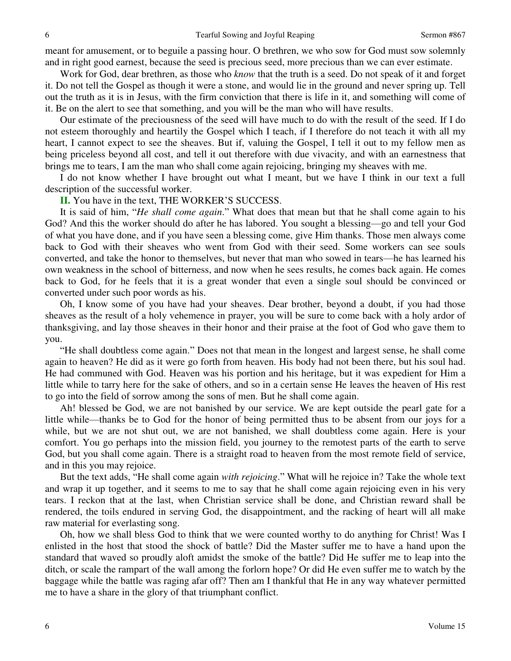meant for amusement, or to beguile a passing hour. O brethren, we who sow for God must sow solemnly and in right good earnest, because the seed is precious seed, more precious than we can ever estimate.

 Work for God, dear brethren, as those who *know* that the truth is a seed. Do not speak of it and forget it. Do not tell the Gospel as though it were a stone, and would lie in the ground and never spring up. Tell out the truth as it is in Jesus, with the firm conviction that there is life in it, and something will come of it. Be on the alert to see that something, and you will be the man who will have results.

 Our estimate of the preciousness of the seed will have much to do with the result of the seed. If I do not esteem thoroughly and heartily the Gospel which I teach, if I therefore do not teach it with all my heart, I cannot expect to see the sheaves. But if, valuing the Gospel, I tell it out to my fellow men as being priceless beyond all cost, and tell it out therefore with due vivacity, and with an earnestness that brings me to tears, I am the man who shall come again rejoicing, bringing my sheaves with me.

 I do not know whether I have brought out what I meant, but we have I think in our text a full description of the successful worker.

**II.** You have in the text, THE WORKER'S SUCCESS.

 It is said of him, "*He shall come again*." What does that mean but that he shall come again to his God? And this the worker should do after he has labored. You sought a blessing—go and tell your God of what you have done, and if you have seen a blessing come, give Him thanks. Those men always come back to God with their sheaves who went from God with their seed. Some workers can see souls converted, and take the honor to themselves, but never that man who sowed in tears—he has learned his own weakness in the school of bitterness, and now when he sees results, he comes back again. He comes back to God, for he feels that it is a great wonder that even a single soul should be convinced or converted under such poor words as his.

 Oh, I know some of you have had your sheaves. Dear brother, beyond a doubt, if you had those sheaves as the result of a holy vehemence in prayer, you will be sure to come back with a holy ardor of thanksgiving, and lay those sheaves in their honor and their praise at the foot of God who gave them to you.

"He shall doubtless come again." Does not that mean in the longest and largest sense, he shall come again to heaven? He did as it were go forth from heaven. His body had not been there, but his soul had. He had communed with God. Heaven was his portion and his heritage, but it was expedient for Him a little while to tarry here for the sake of others, and so in a certain sense He leaves the heaven of His rest to go into the field of sorrow among the sons of men. But he shall come again.

Ah! blessed be God, we are not banished by our service. We are kept outside the pearl gate for a little while—thanks be to God for the honor of being permitted thus to be absent from our joys for a while, but we are not shut out, we are not banished, we shall doubtless come again. Here is your comfort. You go perhaps into the mission field, you journey to the remotest parts of the earth to serve God, but you shall come again. There is a straight road to heaven from the most remote field of service, and in this you may rejoice.

 But the text adds, "He shall come again *with rejoicing*." What will he rejoice in? Take the whole text and wrap it up together, and it seems to me to say that he shall come again rejoicing even in his very tears. I reckon that at the last, when Christian service shall be done, and Christian reward shall be rendered, the toils endured in serving God, the disappointment, and the racking of heart will all make raw material for everlasting song.

 Oh, how we shall bless God to think that we were counted worthy to do anything for Christ! Was I enlisted in the host that stood the shock of battle? Did the Master suffer me to have a hand upon the standard that waved so proudly aloft amidst the smoke of the battle? Did He suffer me to leap into the ditch, or scale the rampart of the wall among the forlorn hope? Or did He even suffer me to watch by the baggage while the battle was raging afar off? Then am I thankful that He in any way whatever permitted me to have a share in the glory of that triumphant conflict.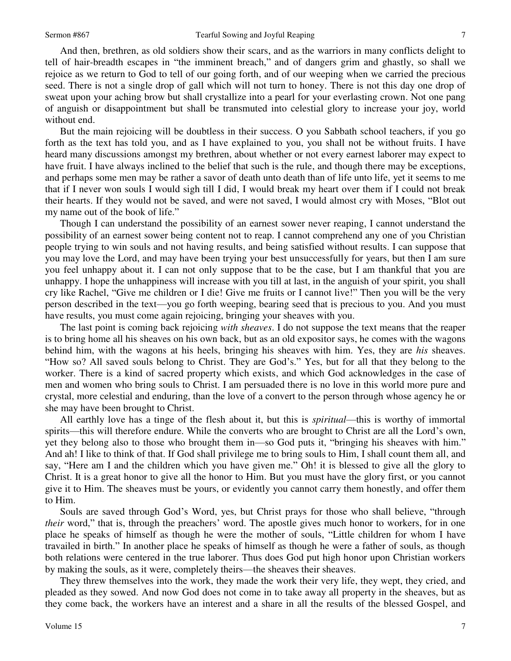7

 And then, brethren, as old soldiers show their scars, and as the warriors in many conflicts delight to tell of hair-breadth escapes in "the imminent breach," and of dangers grim and ghastly, so shall we rejoice as we return to God to tell of our going forth, and of our weeping when we carried the precious seed. There is not a single drop of gall which will not turn to honey. There is not this day one drop of sweat upon your aching brow but shall crystallize into a pearl for your everlasting crown. Not one pang of anguish or disappointment but shall be transmuted into celestial glory to increase your joy, world without end.

 But the main rejoicing will be doubtless in their success. O you Sabbath school teachers, if you go forth as the text has told you, and as I have explained to you, you shall not be without fruits. I have heard many discussions amongst my brethren, about whether or not every earnest laborer may expect to have fruit. I have always inclined to the belief that such is the rule, and though there may be exceptions, and perhaps some men may be rather a savor of death unto death than of life unto life, yet it seems to me that if I never won souls I would sigh till I did, I would break my heart over them if I could not break their hearts. If they would not be saved, and were not saved, I would almost cry with Moses, "Blot out my name out of the book of life."

 Though I can understand the possibility of an earnest sower never reaping, I cannot understand the possibility of an earnest sower being content not to reap. I cannot comprehend any one of you Christian people trying to win souls and not having results, and being satisfied without results. I can suppose that you may love the Lord, and may have been trying your best unsuccessfully for years, but then I am sure you feel unhappy about it. I can not only suppose that to be the case, but I am thankful that you are unhappy. I hope the unhappiness will increase with you till at last, in the anguish of your spirit, you shall cry like Rachel, "Give me children or I die! Give me fruits or I cannot live!" Then you will be the very person described in the text—you go forth weeping, bearing seed that is precious to you. And you must have results, you must come again rejoicing, bringing your sheaves with you.

 The last point is coming back rejoicing *with sheaves*. I do not suppose the text means that the reaper is to bring home all his sheaves on his own back, but as an old expositor says, he comes with the wagons behind him, with the wagons at his heels, bringing his sheaves with him. Yes, they are *his* sheaves. "How so? All saved souls belong to Christ. They are God's." Yes, but for all that they belong to the worker. There is a kind of sacred property which exists, and which God acknowledges in the case of men and women who bring souls to Christ. I am persuaded there is no love in this world more pure and crystal, more celestial and enduring, than the love of a convert to the person through whose agency he or she may have been brought to Christ.

 All earthly love has a tinge of the flesh about it, but this is *spiritual*—this is worthy of immortal spirits—this will therefore endure. While the converts who are brought to Christ are all the Lord's own, yet they belong also to those who brought them in—so God puts it, "bringing his sheaves with him." And ah! I like to think of that. If God shall privilege me to bring souls to Him, I shall count them all, and say, "Here am I and the children which you have given me." Oh! it is blessed to give all the glory to Christ. It is a great honor to give all the honor to Him. But you must have the glory first, or you cannot give it to Him. The sheaves must be yours, or evidently you cannot carry them honestly, and offer them to Him.

 Souls are saved through God's Word, yes, but Christ prays for those who shall believe, "through *their* word," that is, through the preachers' word. The apostle gives much honor to workers, for in one place he speaks of himself as though he were the mother of souls, "Little children for whom I have travailed in birth." In another place he speaks of himself as though he were a father of souls, as though both relations were centered in the true laborer. Thus does God put high honor upon Christian workers by making the souls, as it were, completely theirs—the sheaves their sheaves.

 They threw themselves into the work, they made the work their very life, they wept, they cried, and pleaded as they sowed. And now God does not come in to take away all property in the sheaves, but as they come back, the workers have an interest and a share in all the results of the blessed Gospel, and